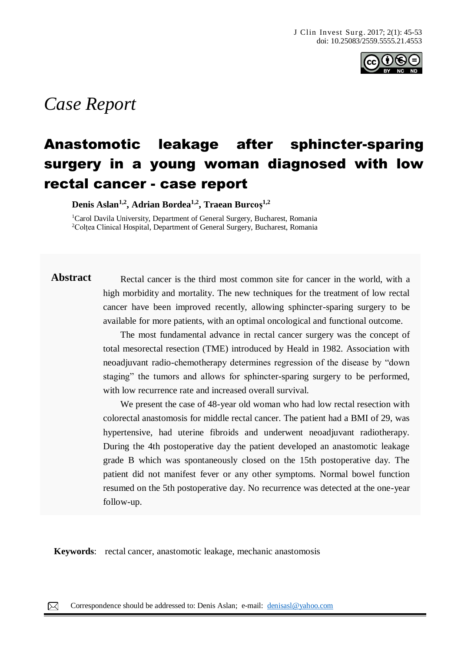

# *Case Report*

## Anastomotic leakage after sphincter-sparing surgery in a young woman diagnosed with low rectal cancer - case report

**Denis Aslan1,2, Adrian Bordea1,2, Traean Burcoș1,2**

<sup>1</sup>Carol Davila University, Department of General Surgery, Bucharest, Romania <sup>2</sup>Colțea Clinical Hospital, Department of General Surgery, Bucharest, Romania

Abstract Rectal cancer is the third most common site for cancer in the world, with a high morbidity and mortality. The new techniques for the treatment of low rectal cancer have been improved recently, allowing sphincter-sparing surgery to be available for more patients, with an optimal oncological and functional outcome.

> The most fundamental advance in rectal cancer surgery was the concept of total mesorectal resection (TME) introduced by Heald in 1982. Association with neoadjuvant radio-chemotherapy determines regression of the disease by "down staging" the tumors and allows for sphincter-sparing surgery to be performed, with low recurrence rate and increased overall survival.

> We present the case of 48-year old woman who had low rectal resection with colorectal anastomosis for middle rectal cancer. The patient had a BMI of 29, was hypertensive, had uterine fibroids and underwent neoadjuvant radiotherapy. During the 4th postoperative day the patient developed an anastomotic leakage grade B which was spontaneously closed on the 15th postoperative day. The patient did not manifest fever or any other symptoms. Normal bowel function resumed on the 5th postoperative day. No recurrence was detected at the one-year follow-up.

**Keywords**: rectal cancer, anastomotic leakage, mechanic anastomosis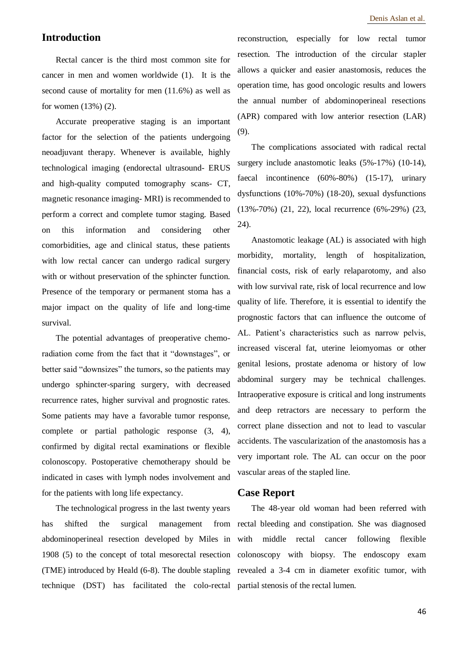#### **Introduction**

Rectal cancer is the third most common site for cancer in men and women worldwide (1). It is the second cause of mortality for men (11.6%) as well as for women (13%) (2).

Accurate preoperative staging is an important factor for the selection of the patients undergoing neoadjuvant therapy. Whenever is available, highly technological imaging (endorectal ultrasound- ERUS and high-quality computed tomography scans- CT, magnetic resonance imaging- MRI) is recommended to perform a correct and complete tumor staging. Based on this information and considering other comorbidities, age and clinical status, these patients with low rectal cancer can undergo radical surgery with or without preservation of the sphincter function. Presence of the temporary or permanent stoma has a major impact on the quality of life and long-time survival.

The potential advantages of preoperative chemoradiation come from the fact that it "downstages", or better said "downsizes" the tumors, so the patients may undergo sphincter-sparing surgery, with decreased recurrence rates, higher survival and prognostic rates. Some patients may have a favorable tumor response, complete or partial pathologic response (3, 4), confirmed by digital rectal examinations or flexible colonoscopy. Postoperative chemotherapy should be indicated in cases with lymph nodes involvement and for the patients with long life expectancy.

The technological progress in the last twenty years has shifted the surgical management from abdominoperineal resection developed by Miles in 1908 (5) to the concept of total mesorectal resection (TME) introduced by Heald (6-8). The double stapling technique (DST) has facilitated the colo-rectal partial stenosis of the rectal lumen.

reconstruction, especially for low rectal tumor resection. The introduction of the circular stapler allows a quicker and easier anastomosis, reduces the operation time, has good oncologic results and lowers the annual number of abdominoperineal resections (APR) compared with low anterior resection (LAR) (9).

The complications associated with radical rectal surgery include anastomotic leaks (5%-17%) (10-14), faecal incontinence (60%-80%) (15-17), urinary dysfunctions (10%-70%) (18-20), sexual dysfunctions (13%-70%) (21, 22), local recurrence (6%-29%) (23, 24).

Anastomotic leakage (AL) is associated with high morbidity, mortality, length of hospitalization, financial costs, risk of early relaparotomy, and also with low survival rate, risk of local recurrence and low quality of life. Therefore, it is essential to identify the prognostic factors that can influence the outcome of AL. Patient's characteristics such as narrow pelvis, increased visceral fat, uterine leiomyomas or other genital lesions, prostate adenoma or history of low abdominal surgery may be technical challenges. Intraoperative exposure is critical and long instruments and deep retractors are necessary to perform the correct plane dissection and not to lead to vascular accidents. The vascularization of the anastomosis has a very important role. The AL can occur on the poor vascular areas of the stapled line.

#### **Case Report**

The 48-year old woman had been referred with rectal bleeding and constipation. She was diagnosed with middle rectal cancer following flexible colonoscopy with biopsy. The endoscopy exam revealed a 3-4 cm in diameter exofitic tumor, with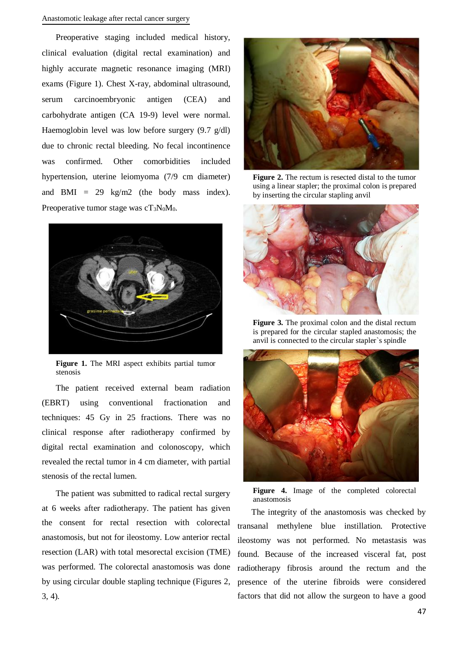Preoperative staging included medical history, clinical evaluation (digital rectal examination) and highly accurate magnetic resonance imaging (MRI) exams (Figure 1). Chest X-ray, abdominal ultrasound, serum carcinoembryonic antigen (CEA) and carbohydrate antigen (CA 19-9) level were normal. Haemoglobin level was low before surgery (9.7 g/dl) due to chronic rectal bleeding. No fecal incontinence was confirmed. Other comorbidities included hypertension, uterine leiomyoma (7/9 cm diameter) and BMI =  $29 \text{ kg/m2}$  (the body mass index). Preoperative tumor stage was  $cT_3N_0M_0$ .



**Figure 1.** The MRI aspect exhibits partial tumor stenosis

The patient received external beam radiation (EBRT) using conventional fractionation and techniques: 45 Gy in 25 fractions. There was no clinical response after radiotherapy confirmed by digital rectal examination and colonoscopy, which revealed the rectal tumor in 4 cm diameter, with partial stenosis of the rectal lumen.

The patient was submitted to radical rectal surgery at 6 weeks after radiotherapy. The patient has given the consent for rectal resection with colorectal anastomosis, but not for ileostomy. Low anterior rectal resection (LAR) with total mesorectal excision (TME) was performed. The colorectal anastomosis was done by using circular double stapling technique (Figures 2, 3, 4).



**Figure 2.** The rectum is resected distal to the tumor using a linear stapler; the proximal colon is prepared by inserting the circular stapling anvil



**Figure 3.** The proximal colon and the distal rectum is prepared for the circular stapled anastomosis; the anvil is connected to the circular stapler`s spindle



**Figure 4.** Image of the completed colorectal anastomosis

The integrity of the anastomosis was checked by transanal methylene blue instillation. Protective ileostomy was not performed. No metastasis was found. Because of the increased visceral fat, post radiotherapy fibrosis around the rectum and the presence of the uterine fibroids were considered factors that did not allow the surgeon to have a good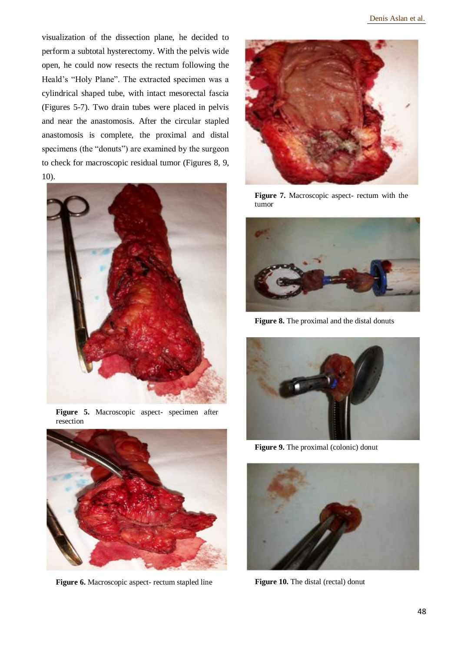visualization of the dissection plane, he decided to perform a subtotal hysterectomy. With the pelvis wide open, he could now resects the rectum following the Heald's "Holy Plane". The extracted specimen was a cylindrical shaped tube, with intact mesorectal fascia (Figures 5-7). Two drain tubes were placed in pelvis and near the anastomosis. After the circular stapled anastomosis is complete, the proximal and distal specimens (the "donuts") are examined by the surgeon to check for macroscopic residual tumor (Figures 8, 9, 10).



**Figure 5.** Macroscopic aspect- specimen after resection



**Figure 6.** Macroscopic aspect- rectum stapled line **Figure 10.** The distal (rectal) donut



**Figure 7.** Macroscopic aspect- rectum with the tumor



**Figure 8.** The proximal and the distal donuts



**Figure 9.** The proximal (colonic) donut

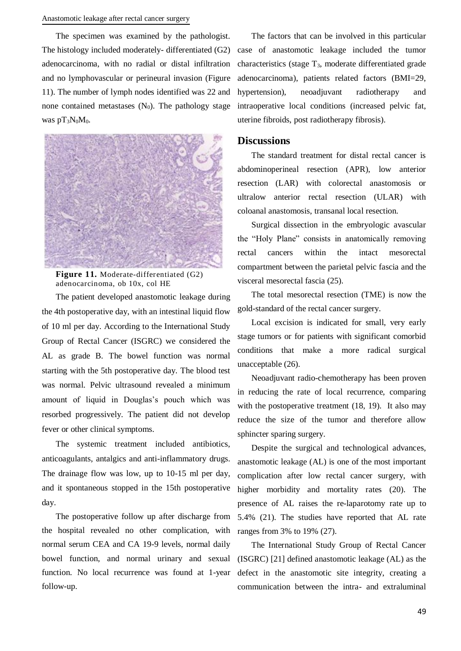The specimen was examined by the pathologist. The histology included moderately- differentiated (G2) adenocarcinoma, with no radial or distal infiltration and no lymphovascular or perineural invasion (Figure 11). The number of lymph nodes identified was 22 and none contained metastases  $(N_0)$ . The pathology stage was  $pT_3N_0M_0$ .



**Figure 11.** Moderate-differentiated (G2) adenocarcinoma, ob 10x, col HE

The patient developed anastomotic leakage during the 4th postoperative day, with an intestinal liquid flow of 10 ml per day. According to the International Study Group of Rectal Cancer (ISGRC) we considered the AL as grade B. The bowel function was normal starting with the 5th postoperative day. The blood test was normal. Pelvic ultrasound revealed a minimum amount of liquid in Douglas's pouch which was resorbed progressively. The patient did not develop fever or other clinical symptoms.

The systemic treatment included antibiotics, anticoagulants, antalgics and anti-inflammatory drugs. The drainage flow was low, up to 10-15 ml per day, and it spontaneous stopped in the 15th postoperative day.

The postoperative follow up after discharge from the hospital revealed no other complication, with normal serum CEA and CA 19-9 levels, normal daily bowel function, and normal urinary and sexual function. No local recurrence was found at 1-year follow-up.

The factors that can be involved in this particular case of anastomotic leakage included the tumor characteristics (stage T3, moderate differentiated grade adenocarcinoma), patients related factors (BMI=29, hypertension), neoadjuvant radiotherapy and intraoperative local conditions (increased pelvic fat, uterine fibroids, post radiotherapy fibrosis).

#### **Discussions**

The standard treatment for distal rectal cancer is abdominoperineal resection (APR), low anterior resection (LAR) with colorectal anastomosis or ultralow anterior rectal resection (ULAR) with coloanal anastomosis, transanal local resection.

Surgical dissection in the embryologic avascular the "Holy Plane" consists in anatomically removing rectal cancers within the intact mesorectal compartment between the parietal pelvic fascia and the visceral mesorectal fascia (25).

The total mesorectal resection (TME) is now the gold-standard of the rectal cancer surgery.

Local excision is indicated for small, very early stage tumors or for patients with significant comorbid conditions that make a more radical surgical unacceptable (26).

Neoadjuvant radio-chemotherapy has been proven in reducing the rate of local recurrence, comparing with the postoperative treatment (18, 19). It also may reduce the size of the tumor and therefore allow sphincter sparing surgery.

Despite the surgical and technological advances, anastomotic leakage (AL) is one of the most important complication after low rectal cancer surgery, with higher morbidity and mortality rates (20). The presence of AL raises the re-laparotomy rate up to 5.4% (21). The studies have reported that AL rate ranges from 3% to 19% (27).

The International Study Group of Rectal Cancer (ISGRC) [21] defined anastomotic leakage (AL) as the defect in the anastomotic site integrity, creating a communication between the intra- and extraluminal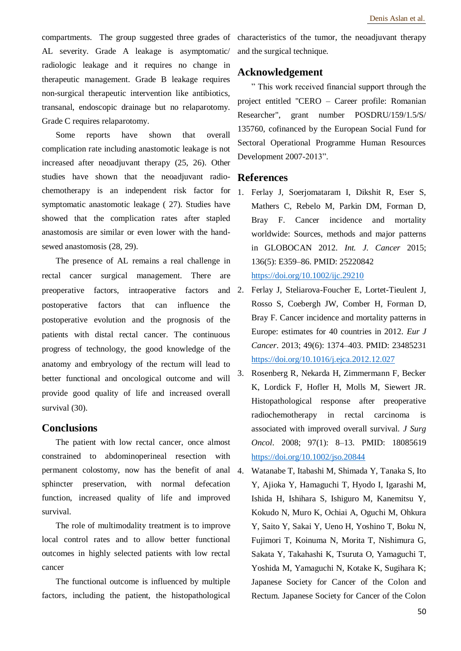AL severity. Grade A leakage is asymptomatic/ radiologic leakage and it requires no change in therapeutic management. Grade B leakage requires non-surgical therapeutic intervention like antibiotics, transanal, endoscopic drainage but no relaparotomy. Grade C requires relaparotomy.

Some reports have shown that overall complication rate including anastomotic leakage is not increased after neoadjuvant therapy (25, 26). Other studies have shown that the neoadjuvant radiochemotherapy is an independent risk factor for symptomatic anastomotic leakage ( 27). Studies have showed that the complication rates after stapled anastomosis are similar or even lower with the handsewed anastomosis (28, 29).

The presence of AL remains a real challenge in rectal cancer surgical management. There are preoperative factors, intraoperative factors and 2. postoperative factors that can influence the postoperative evolution and the prognosis of the patients with distal rectal cancer. The continuous progress of technology, the good knowledge of the anatomy and embryology of the rectum will lead to better functional and oncological outcome and will provide good quality of life and increased overall survival (30).

#### **Conclusions**

The patient with low rectal cancer, once almost constrained to abdominoperineal resection with permanent colostomy, now has the benefit of anal sphincter preservation, with normal defecation function, increased quality of life and improved survival.

The role of multimodality treatment is to improve local control rates and to allow better functional outcomes in highly selected patients with low rectal cancer

The functional outcome is influenced by multiple factors, including the patient, the histopathological

compartments. The group suggested three grades of characteristics of the tumor, the neoadjuvant therapy and the surgical technique.

### **Acknowledgement**

" This work received financial support through the project entitled "CERO – Career profile: Romanian Researcher", grant number POSDRU/159/1.5/S/ 135760, cofinanced by the European Social Fund for Sectoral Operational Programme Human Resources Development 2007-2013".

#### **References**

- 1. Ferlay J, Soerjomataram I, Dikshit R, Eser S, Mathers C, Rebelo M, Parkin DM, Forman D, Bray F. Cancer incidence and mortality worldwide: Sources, methods and major patterns in GLOBOCAN 2012. *Int. J. Cancer* 2015; 136(5): E359–86. PMID: 25220842 <https://doi.org/10.1002/ijc.29210>
- 2. Ferlay J, Steliarova-Foucher E, Lortet-Tieulent J, Rosso S, Coebergh JW, Comber H, Forman D, Bray F. Cancer incidence and mortality patterns in Europe: estimates for 40 countries in 2012. *Eur J Cancer*. 2013; 49(6): 1374–403. PMID: 23485231 <https://doi.org/10.1016/j.ejca.2012.12.027>
- 3. Rosenberg R, Nekarda H, Zimmermann F, Becker K, Lordick F, Hofler H, Molls M, Siewert JR. Histopathological response after preoperative radiochemotherapy in rectal carcinoma is associated with improved overall survival. *J Surg Oncol*. 2008; 97(1): 8–13. PMID: 18085619 <https://doi.org/10.1002/jso.20844>
- 4. Watanabe T, Itabashi M, Shimada Y, Tanaka S, Ito Y, Ajioka Y, Hamaguchi T, Hyodo I, Igarashi M, Ishida H, Ishihara S, Ishiguro M, Kanemitsu Y, Kokudo N, Muro K, Ochiai A, Oguchi M, Ohkura Y, Saito Y, Sakai Y, Ueno H, Yoshino T, Boku N, Fujimori T, Koinuma N, Morita T, Nishimura G, Sakata Y, Takahashi K, Tsuruta O, Yamaguchi T, Yoshida M, Yamaguchi N, Kotake K, Sugihara K; Japanese Society for Cancer of the Colon and Rectum. Japanese Society for Cancer of the Colon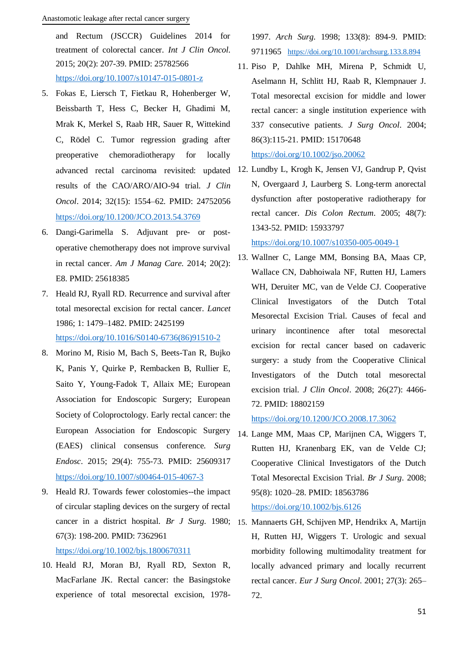and Rectum (JSCCR) Guidelines 2014 for treatment of colorectal cancer. *Int J Clin Oncol*. 2015; 20(2): 207-39. PMID: 25782566 <https://doi.org/10.1007/s10147-015-0801-z>

- 5. Fokas E, Liersch T, Fietkau R, Hohenberger W, Beissbarth T, Hess C, Becker H, Ghadimi M, Mrak K, Merkel S, Raab HR, Sauer R, Wittekind C, Rödel C. Tumor regression grading after preoperative chemoradiotherapy for locally results of the CAO/ARO/AIO-94 trial. *J Clin Oncol*. 2014; 32(15): 1554–62. PMID: 24752056 <https://doi.org/10.1200/JCO.2013.54.3769>
- 6. Dangi-Garimella S. Adjuvant pre- or postoperative chemotherapy does not improve survival in rectal cancer. *Am J Manag Care*. 2014; 20(2): E8. PMID: 25618385
- 7. Heald RJ, Ryall RD. Recurrence and survival after total mesorectal excision for rectal cancer. *Lancet* 1986; 1: 1479–1482. PMID: 2425199 [https://doi.org/10.1016/S0140-6736\(86\)91510-2](https://doi.org/10.1016/S0140-6736(86)91510-2)
- 8. Morino M, Risio M, Bach S, Beets-Tan R, Bujko K, Panis Y, Quirke P, Rembacken B, Rullier E, Saito Y, Young-Fadok T, Allaix ME; European Association for Endoscopic Surgery; European Society of Coloproctology. Early rectal cancer: the European Association for Endoscopic Surgery (EAES) clinical consensus conference. *Surg Endosc*. 2015; 29(4): 755-73. PMID: 25609317 <https://doi.org/10.1007/s00464-015-4067-3>
- 9. Heald RJ. Towards fewer colostomies--the impact of circular stapling devices on the surgery of rectal cancer in a district hospital. *Br J Surg*. 1980; 15. Mannaerts GH, Schijven MP, Hendrikx A, Martijn 67(3): 198-200. PMID: 7362961 <https://doi.org/10.1002/bjs.1800670311>
- 10. Heald RJ, Moran BJ, Ryall RD, Sexton R, MacFarlane JK. Rectal cancer: the Basingstoke experience of total mesorectal excision, 1978-

1997. *Arch Surg*. 1998; 133(8): 894-9. PMID: 9711965 <https://doi.org/10.1001/archsurg.133.8.894>

- 11. Piso P, Dahlke MH, Mirena P, Schmidt U, Aselmann H, Schlitt HJ, Raab R, Klempnauer J. Total mesorectal excision for middle and lower rectal cancer: a single institution experience with 337 consecutive patients. *J Surg Oncol*. 2004; 86(3):115-21. PMID: 15170648 <https://doi.org/10.1002/jso.20062>
- advanced rectal carcinoma revisited: updated 12. Lundby L, Krogh K, Jensen VJ, Gandrup P, Qvist N, Overgaard J, Laurberg S. Long-term anorectal dysfunction after postoperative radiotherapy for rectal cancer. *Dis Colon Rectum*. 2005; 48(7): 1343-52. PMID: 15933797

<https://doi.org/10.1007/s10350-005-0049-1>

13. Wallner C, Lange MM, Bonsing BA, Maas CP, Wallace CN, Dabhoiwala NF, Rutten HJ, Lamers WH, Deruiter MC, van de Velde CJ. Cooperative Clinical Investigators of the Dutch Total Mesorectal Excision Trial. Causes of fecal and urinary incontinence after total mesorectal excision for rectal cancer based on cadaveric surgery: a study from the Cooperative Clinical Investigators of the Dutch total mesorectal excision trial. *J Clin Oncol*. 2008; 26(27): 4466- 72. PMID: 18802159

<https://doi.org/10.1200/JCO.2008.17.3062>

14. Lange MM, Maas CP, Marijnen CA, Wiggers T, Rutten HJ, Kranenbarg EK, van de Velde CJ; Cooperative Clinical Investigators of the Dutch Total Mesorectal Excision Trial. *Br J Surg*. 2008; 95(8): 1020–28. PMID: 18563786

<https://doi.org/10.1002/bjs.6126>

H, Rutten HJ, Wiggers T. Urologic and sexual morbidity following multimodality treatment for locally advanced primary and locally recurrent rectal cancer. *Eur J Surg Oncol*. 2001; 27(3): 265– 72.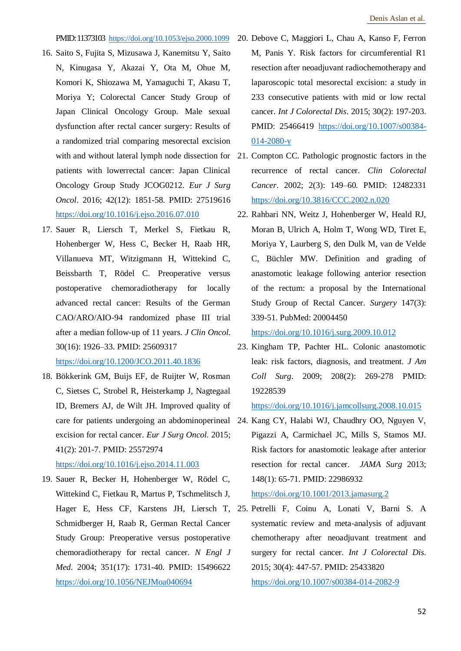PMID: 11373103 <https://doi.org/10.1053/ejso.2000.1099>

- 16. Saito S, Fujita S, Mizusawa J, Kanemitsu Y, Saito N, Kinugasa Y, Akazai Y, Ota M, Ohue M, Komori K, Shiozawa M, Yamaguchi T, Akasu T, Moriya Y; Colorectal Cancer Study Group of Japan Clinical Oncology Group. Male sexual dysfunction after rectal cancer surgery: Results of a randomized trial comparing mesorectal excision with and without lateral lymph node dissection for 21. Compton CC. Pathologic prognostic factors in the patients with lowerrectal cancer: Japan Clinical Oncology Group Study JCOG0212. *Eur J Surg Oncol*. 2016; 42(12): 1851-58. PMID: 27519616 <https://doi.org/10.1016/j.ejso.2016.07.010>
- 17. Sauer R, Liersch T, Merkel S, Fietkau R, Hohenberger W, Hess C, Becker H, Raab HR, Villanueva MT, Witzigmann H, Wittekind C, Beissbarth T, Rödel C. Preoperative versus postoperative chemoradiotherapy for locally advanced rectal cancer: Results of the German CAO/ARO/AIO-94 randomized phase III trial after a median follow-up of 11 years. *J Clin Oncol*. 30(16): 1926–33. PMID: 25609317 <https://doi.org/10.1200/JCO.2011.40.1836>
- 18. Bökkerink GM, Buijs EF, de Ruijter W, Rosman C, Sietses C, Strobel R, Heisterkamp J, Nagtegaal ID, Bremers AJ, de Wilt JH. Improved quality of care for patients undergoing an abdominoperineal 24. Kang CY, Halabi WJ, Chaudhry OO, Nguyen V, excision for rectal cancer. *Eur J Surg Oncol*. 2015; 41(2): 201-7. PMID: 25572974 <https://doi.org/10.1016/j.ejso.2014.11.003>

19. Sauer R, Becker H, Hohenberger W, Rödel C, Wittekind C, Fietkau R, Martus P, Tschmelitsch J, Hager E, Hess CF, Karstens JH, Liersch T, 25. Petrelli F, Coinu A, Lonati V, Barni S. A Schmidberger H, Raab R, German Rectal Cancer Study Group: Preoperative versus postoperative chemoradiotherapy for rectal cancer. *N Engl J Med*. 2004; 351(17): 1731-40. PMID: 15496622 <https://doi.org/10.1056/NEJMoa040694>

- 20. Debove C, Maggiori L, Chau A, Kanso F, Ferron M, Panis Y. Risk factors for circumferential R1 resection after neoadjuvant radiochemotherapy and laparoscopic total mesorectal excision: a study in 233 consecutive patients with mid or low rectal cancer. *Int J Colorectal Dis*. 2015; 30(2): 197-203. PMID: 25466419 [https://doi.org/10.1007/s00384-](https://doi.org/10.1007/s00384-014-2080-y) [014-2080-y](https://doi.org/10.1007/s00384-014-2080-y)
- recurrence of rectal cancer. *Clin Colorectal Cancer*. 2002; 2(3): 149–60. PMID: 12482331 <https://doi.org/10.3816/CCC.2002.n.020>
- 22. Rahbari NN, Weitz J, Hohenberger W, Heald RJ, Moran B, Ulrich A, Holm T, Wong WD, Tiret E, Moriya Y, Laurberg S, den Dulk M, van de Velde C, Büchler MW. Definition and grading of anastomotic leakage following anterior resection of the rectum: a proposal by the International Study Group of Rectal Cancer. *Surgery* 147(3): 339-51. PubMed: 20004450

<https://doi.org/10.1016/j.surg.2009.10.012>

23. Kingham TP, Pachter HL. Colonic anastomotic leak: risk factors, diagnosis, and treatment. *J Am Coll Surg*. 2009; 208(2): 269-278 PMID: 19228539

<https://doi.org/10.1016/j.jamcollsurg.2008.10.015>

Pigazzi A, Carmichael JC, Mills S, Stamos MJ. Risk factors for anastomotic leakage after anterior resection for rectal cancer. *JAMA Surg* 2013; 148(1): 65-71. PMID: 22986932

<https://doi.org/10.1001/2013.jamasurg.2>

systematic review and meta-analysis of adjuvant chemotherapy after neoadjuvant treatment and surgery for rectal cancer. *Int J Colorectal Dis*. 2015; 30(4): 447-57. PMID: 25433820 <https://doi.org/10.1007/s00384-014-2082-9>